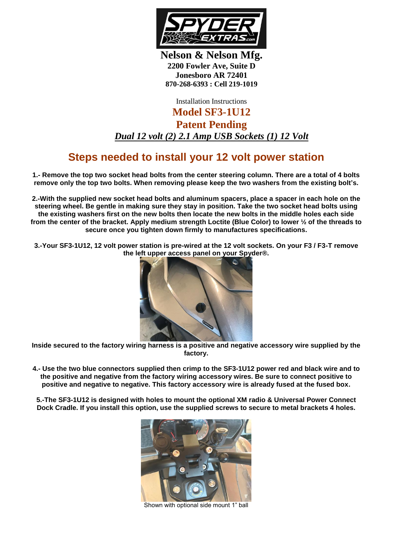

**Nelson & Nelson Mfg. 2200 Fowler Ave, Suite D Jonesboro AR 72401 870-268-6393 : Cell 219-1019**

Installation Instructions

**Model SF3-1U12 Patent Pending** *Dual 12 volt (2) 2.1 Amp USB Sockets (1) 12 Volt*

## **Steps needed to install your 12 volt power station**

**1.- Remove the top two socket head bolts from the center steering column. There are a total of 4 bolts remove only the top two bolts. When removing please keep the two washers from the existing bolt's.**

**2.-With the supplied new socket head bolts and aluminum spacers, place a spacer in each hole on the steering wheel. Be gentle in making sure they stay in position. Take the two socket head bolts using the existing washers first on the new bolts then locate the new bolts in the middle holes each side from the center of the bracket. Apply medium strength Loctite (Blue Color) to lower ½ of the threads to secure once you tighten down firmly to manufactures specifications.**

**3.-Your SF3-1U12, 12 volt power station is pre-wired at the 12 volt sockets. On your F3 / F3-T remove the left upper access panel on your Spyder®.** 



**Inside secured to the factory wiring harness is a positive and negative accessory wire supplied by the factory.**

**4.- Use the two blue connectors supplied then crimp to the SF3-1U12 power red and black wire and to the positive and negative from the factory wiring accessory wires. Be sure to connect positive to positive and negative to negative. This factory accessory wire is already fused at the fused box.**

**5.-The SF3-1U12 is designed with holes to mount the optional XM radio & Universal Power Connect Dock Cradle. If you install this option, use the supplied screws to secure to metal brackets 4 holes.**



Shown with optional side mount 1" ball